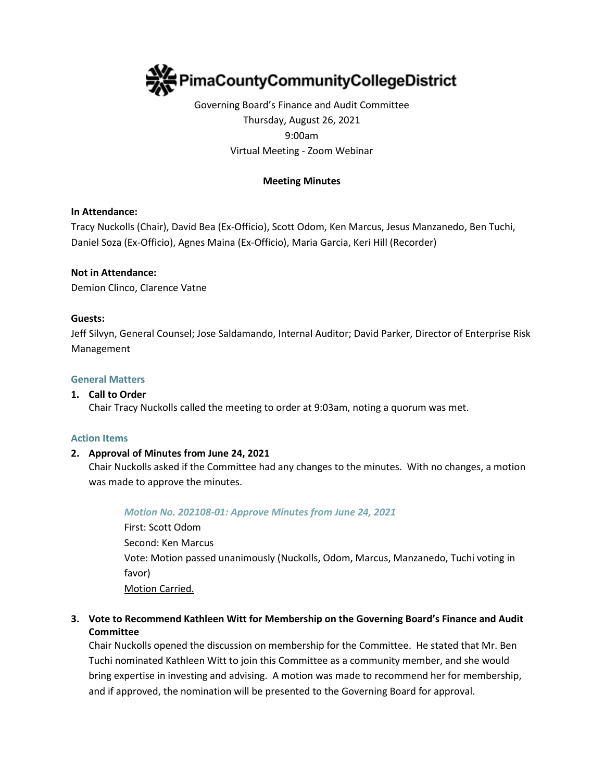

# Governing Board's Finance and Audit Committee Thursday, August 26, 2021 9:00am Virtual Meeting - Zoom Webinar

## **Meeting Minutes**

## **In Attendance:**

Tracy Nuckolls (Chair), David Bea (Ex-Officio), Scott Odom, Ken Marcus, Jesus Manzanedo, Ben Tuchi, Daniel Soza (Ex-Officio), Agnes Maina (Ex-Officio), Maria Garcia, Keri Hill (Recorder)

### **Not in Attendance:**

Demion Clinco, Clarence Vatne

### **Guests:**

Jeff Silvyn, General Counsel; Jose Saldamando, Internal Auditor; David Parker, Director of Enterprise Risk Management

### **General Matters**

### **1. Call to Order**

Chair Tracy Nuckolls called the meeting to order at 9:03am, noting a quorum was met.

#### **Action Items**

## **2. Approval of Minutes from June 24, 2021**

Chair Nuckolls asked if the Committee had any changes to the minutes. With no changes, a motion was made to approve the minutes.

#### *Motion No. 202108-01: Approve Minutes from June 24, 2021*

First: Scott Odom Second: Ken Marcus Vote: Motion passed unanimously (Nuckolls, Odom, Marcus, Manzanedo, Tuchi voting in favor) Motion Carried.

## **3. Vote to Recommend Kathleen Witt for Membership on the Governing Board's Finance and Audit Committee**

Chair Nuckolls opened the discussion on membership for the Committee. He stated that Mr. Ben Tuchi nominated Kathleen Witt to join this Committee as a community member, and she would bring expertise in investing and advising. A motion was made to recommend her for membership, and if approved, the nomination will be presented to the Governing Board for approval.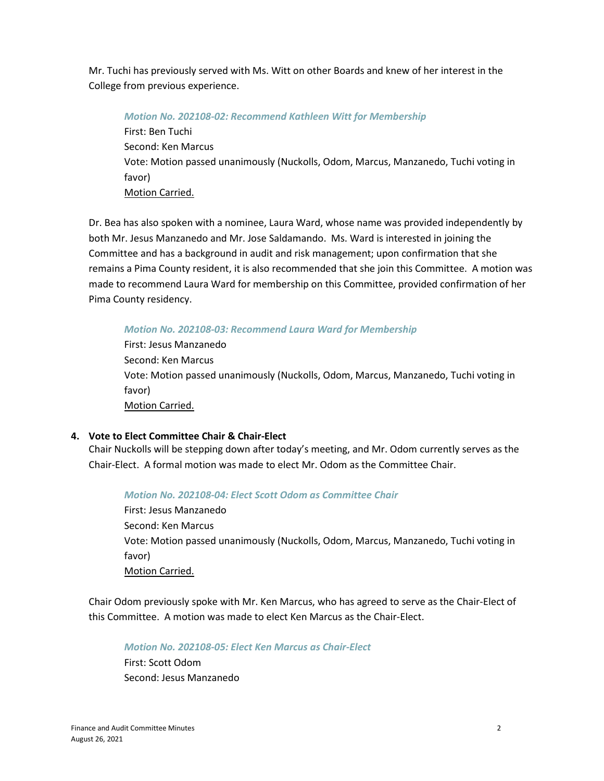Mr. Tuchi has previously served with Ms. Witt on other Boards and knew of her interest in the College from previous experience.

*Motion No. 202108-02: Recommend Kathleen Witt for Membership*  First: Ben Tuchi Second: Ken Marcus Vote: Motion passed unanimously (Nuckolls, Odom, Marcus, Manzanedo, Tuchi voting in favor) Motion Carried.

Dr. Bea has also spoken with a nominee, Laura Ward, whose name was provided independently by both Mr. Jesus Manzanedo and Mr. Jose Saldamando. Ms. Ward is interested in joining the Committee and has a background in audit and risk management; upon confirmation that she remains a Pima County resident, it is also recommended that she join this Committee. A motion was made to recommend Laura Ward for membership on this Committee, provided confirmation of her Pima County residency.

*Motion No. 202108-03: Recommend Laura Ward for Membership* 

First: Jesus Manzanedo Second: Ken Marcus Vote: Motion passed unanimously (Nuckolls, Odom, Marcus, Manzanedo, Tuchi voting in favor) Motion Carried.

# **4. Vote to Elect Committee Chair & Chair-Elect**

Chair Nuckolls will be stepping down after today's meeting, and Mr. Odom currently serves as the Chair-Elect. A formal motion was made to elect Mr. Odom as the Committee Chair.

## *Motion No. 202108-04: Elect Scott Odom as Committee Chair*

First: Jesus Manzanedo Second: Ken Marcus Vote: Motion passed unanimously (Nuckolls, Odom, Marcus, Manzanedo, Tuchi voting in favor) Motion Carried.

Chair Odom previously spoke with Mr. Ken Marcus, who has agreed to serve as the Chair-Elect of this Committee. A motion was made to elect Ken Marcus as the Chair-Elect.

## *Motion No. 202108-05: Elect Ken Marcus as Chair-Elect*

First: Scott Odom Second: Jesus Manzanedo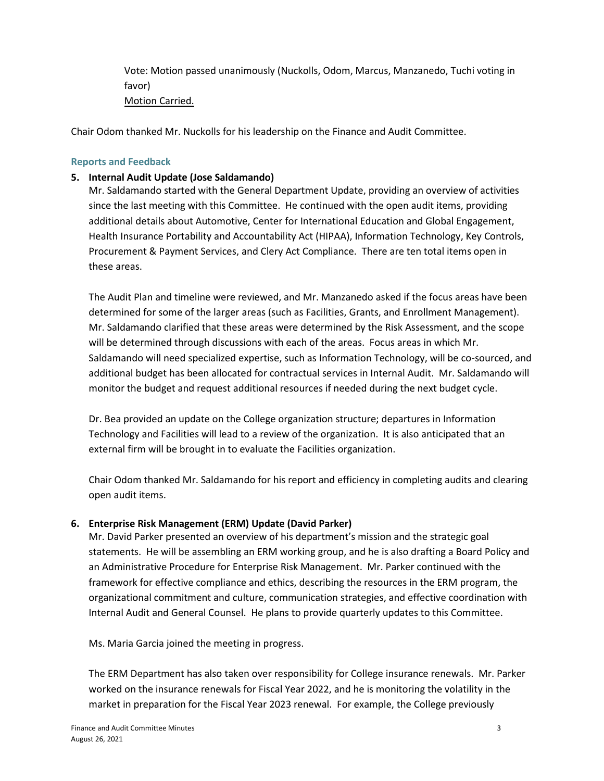Vote: Motion passed unanimously (Nuckolls, Odom, Marcus, Manzanedo, Tuchi voting in favor) Motion Carried.

Chair Odom thanked Mr. Nuckolls for his leadership on the Finance and Audit Committee.

## **Reports and Feedback**

## **5. Internal Audit Update (Jose Saldamando)**

Mr. Saldamando started with the General Department Update, providing an overview of activities since the last meeting with this Committee. He continued with the open audit items, providing additional details about Automotive, Center for International Education and Global Engagement, Health Insurance Portability and Accountability Act (HIPAA), Information Technology, Key Controls, Procurement & Payment Services, and Clery Act Compliance. There are ten total items open in these areas.

The Audit Plan and timeline were reviewed, and Mr. Manzanedo asked if the focus areas have been determined for some of the larger areas (such as Facilities, Grants, and Enrollment Management). Mr. Saldamando clarified that these areas were determined by the Risk Assessment, and the scope will be determined through discussions with each of the areas. Focus areas in which Mr. Saldamando will need specialized expertise, such as Information Technology, will be co-sourced, and additional budget has been allocated for contractual services in Internal Audit. Mr. Saldamando will monitor the budget and request additional resources if needed during the next budget cycle.

Dr. Bea provided an update on the College organization structure; departures in Information Technology and Facilities will lead to a review of the organization. It is also anticipated that an external firm will be brought in to evaluate the Facilities organization.

Chair Odom thanked Mr. Saldamando for his report and efficiency in completing audits and clearing open audit items.

## **6. Enterprise Risk Management (ERM) Update (David Parker)**

Mr. David Parker presented an overview of his department's mission and the strategic goal statements. He will be assembling an ERM working group, and he is also drafting a Board Policy and an Administrative Procedure for Enterprise Risk Management. Mr. Parker continued with the framework for effective compliance and ethics, describing the resources in the ERM program, the organizational commitment and culture, communication strategies, and effective coordination with Internal Audit and General Counsel. He plans to provide quarterly updates to this Committee.

Ms. Maria Garcia joined the meeting in progress.

The ERM Department has also taken over responsibility for College insurance renewals. Mr. Parker worked on the insurance renewals for Fiscal Year 2022, and he is monitoring the volatility in the market in preparation for the Fiscal Year 2023 renewal. For example, the College previously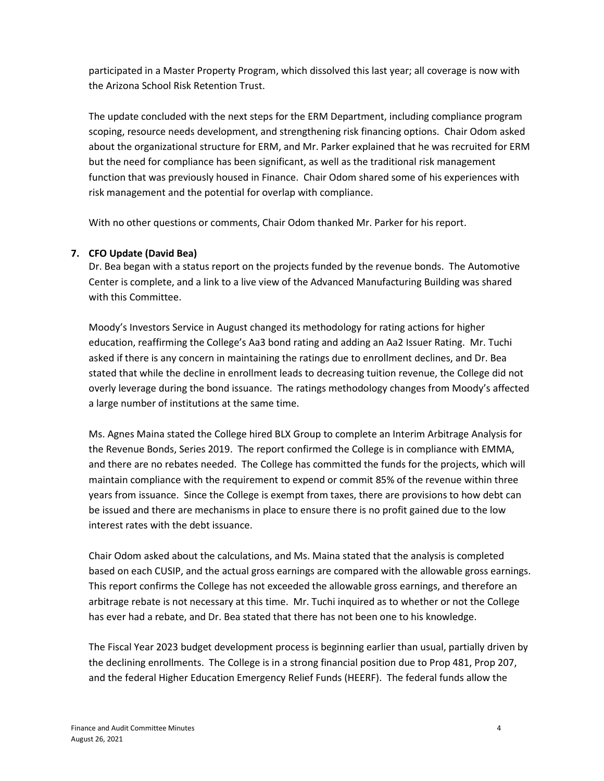participated in a Master Property Program, which dissolved this last year; all coverage is now with the Arizona School Risk Retention Trust.

The update concluded with the next steps for the ERM Department, including compliance program scoping, resource needs development, and strengthening risk financing options. Chair Odom asked about the organizational structure for ERM, and Mr. Parker explained that he was recruited for ERM but the need for compliance has been significant, as well as the traditional risk management function that was previously housed in Finance. Chair Odom shared some of his experiences with risk management and the potential for overlap with compliance.

With no other questions or comments, Chair Odom thanked Mr. Parker for his report.

# **7. CFO Update (David Bea)**

Dr. Bea began with a status report on the projects funded by the revenue bonds. The Automotive Center is complete, and a link to a live view of the Advanced Manufacturing Building was shared with this Committee.

Moody's Investors Service in August changed its methodology for rating actions for higher education, reaffirming the College's Aa3 bond rating and adding an Aa2 Issuer Rating. Mr. Tuchi asked if there is any concern in maintaining the ratings due to enrollment declines, and Dr. Bea stated that while the decline in enrollment leads to decreasing tuition revenue, the College did not overly leverage during the bond issuance. The ratings methodology changes from Moody's affected a large number of institutions at the same time.

Ms. Agnes Maina stated the College hired BLX Group to complete an Interim Arbitrage Analysis for the Revenue Bonds, Series 2019. The report confirmed the College is in compliance with EMMA, and there are no rebates needed. The College has committed the funds for the projects, which will maintain compliance with the requirement to expend or commit 85% of the revenue within three years from issuance. Since the College is exempt from taxes, there are provisions to how debt can be issued and there are mechanisms in place to ensure there is no profit gained due to the low interest rates with the debt issuance.

Chair Odom asked about the calculations, and Ms. Maina stated that the analysis is completed based on each CUSIP, and the actual gross earnings are compared with the allowable gross earnings. This report confirms the College has not exceeded the allowable gross earnings, and therefore an arbitrage rebate is not necessary at this time. Mr. Tuchi inquired as to whether or not the College has ever had a rebate, and Dr. Bea stated that there has not been one to his knowledge.

The Fiscal Year 2023 budget development process is beginning earlier than usual, partially driven by the declining enrollments. The College is in a strong financial position due to Prop 481, Prop 207, and the federal Higher Education Emergency Relief Funds (HEERF). The federal funds allow the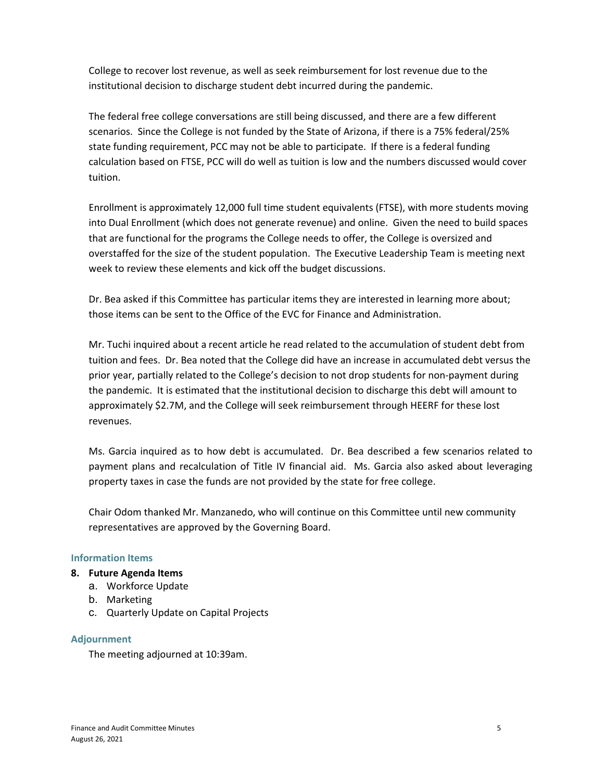College to recover lost revenue, as well as seek reimbursement for lost revenue due to the institutional decision to discharge student debt incurred during the pandemic.

The federal free college conversations are still being discussed, and there are a few different scenarios. Since the College is not funded by the State of Arizona, if there is a 75% federal/25% state funding requirement, PCC may not be able to participate. If there is a federal funding calculation based on FTSE, PCC will do well as tuition is low and the numbers discussed would cover tuition.

Enrollment is approximately 12,000 full time student equivalents (FTSE), with more students moving into Dual Enrollment (which does not generate revenue) and online. Given the need to build spaces that are functional for the programs the College needs to offer, the College is oversized and overstaffed for the size of the student population. The Executive Leadership Team is meeting next week to review these elements and kick off the budget discussions.

Dr. Bea asked if this Committee has particular items they are interested in learning more about; those items can be sent to the Office of the EVC for Finance and Administration.

Mr. Tuchi inquired about a recent article he read related to the accumulation of student debt from tuition and fees. Dr. Bea noted that the College did have an increase in accumulated debt versus the prior year, partially related to the College's decision to not drop students for non-payment during the pandemic. It is estimated that the institutional decision to discharge this debt will amount to approximately \$2.7M, and the College will seek reimbursement through HEERF for these lost revenues.

Ms. Garcia inquired as to how debt is accumulated. Dr. Bea described a few scenarios related to payment plans and recalculation of Title IV financial aid. Ms. Garcia also asked about leveraging property taxes in case the funds are not provided by the state for free college.

Chair Odom thanked Mr. Manzanedo, who will continue on this Committee until new community representatives are approved by the Governing Board.

## **Information Items**

## **8. Future Agenda Items**

- a. Workforce Update
- b. Marketing
- c. Quarterly Update on Capital Projects

## **Adjournment**

The meeting adjourned at 10:39am.